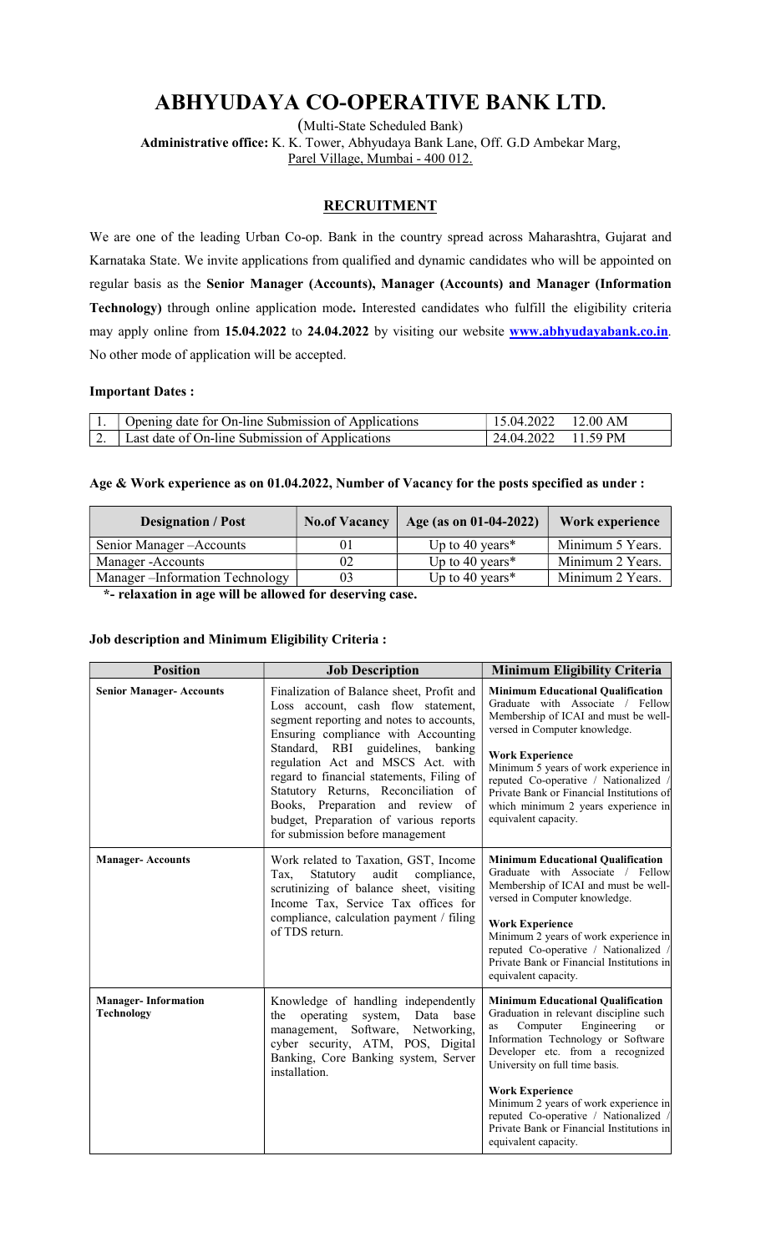# ABHYUDAYA CO-OPERATIVE BANK LTD.

(Multi-State Scheduled Bank)

Administrative office: K. K. Tower, Abhyudaya Bank Lane, Off. G.D Ambekar Marg, Parel Village, Mumbai - 400 012.

# **RECRUITMENT**

We are one of the leading Urban Co-op. Bank in the country spread across Maharashtra, Gujarat and Karnataka State. We invite applications from qualified and dynamic candidates who will be appointed on regular basis as the Senior Manager (Accounts), Manager (Accounts) and Manager (Information Technology) through online application mode. Interested candidates who fulfill the eligibility criteria may apply online from 15.04.2022 to 24.04.2022 by visiting our website **www.abhyudayabank.co.in**. No other mode of application will be accepted.

#### Important Dates :

|    | $\sim$ Opening date for On-line Submission of Applications | $15.04.2022 \quad 12.00 \text{ AM}$ |  |
|----|------------------------------------------------------------|-------------------------------------|--|
| ٠. | Last date of On-line Submission of Applications            | 24.04.2022 11.59 PM                 |  |

#### Age & Work experience as on 01.04.2022, Number of Vacancy for the posts specified as under :

| <b>Designation / Post</b>        | No.of Vacancy | Age (as on 01-04-2022) | Work experience  |
|----------------------------------|---------------|------------------------|------------------|
| Senior Manager-Accounts          |               | Up to 40 years*        | Minimum 5 Years. |
| Manager - Accounts               | 02            | Up to 40 years*        | Minimum 2 Years. |
| Manager - Information Technology |               | Up to 40 years*        | Minimum 2 Years. |

\*- relaxation in age will be allowed for deserving case.

#### Job description and Minimum Eligibility Criteria :

| <b>Position</b>                                 | <b>Job Description</b>                                                                                                                                                                                                                                                                                                                                                                                                                              | <b>Minimum Eligibility Criteria</b>                                                                                                                                                                                                                                                                                                                                                                                    |
|-------------------------------------------------|-----------------------------------------------------------------------------------------------------------------------------------------------------------------------------------------------------------------------------------------------------------------------------------------------------------------------------------------------------------------------------------------------------------------------------------------------------|------------------------------------------------------------------------------------------------------------------------------------------------------------------------------------------------------------------------------------------------------------------------------------------------------------------------------------------------------------------------------------------------------------------------|
| <b>Senior Manager-Accounts</b>                  | Finalization of Balance sheet, Profit and<br>Loss account, cash flow statement,<br>segment reporting and notes to accounts,<br>Ensuring compliance with Accounting<br>Standard, RBI guidelines, banking<br>regulation Act and MSCS Act. with<br>regard to financial statements, Filing of<br>Statutory Returns, Reconciliation of<br>Books, Preparation and review of<br>budget, Preparation of various reports<br>for submission before management | <b>Minimum Educational Qualification</b><br>Graduate with Associate / Fellow<br>Membership of ICAI and must be well-<br>versed in Computer knowledge.<br><b>Work Experience</b><br>Minimum 5 years of work experience in<br>reputed Co-operative / Nationalized /<br>Private Bank or Financial Institutions of<br>which minimum 2 years experience in<br>equivalent capacity.                                          |
| <b>Manager-Accounts</b>                         | Work related to Taxation, GST, Income<br>audit<br>compliance,<br>Tax.<br>Statutory<br>scrutinizing of balance sheet, visiting<br>Income Tax, Service Tax offices for<br>compliance, calculation payment / filing<br>of TDS return.                                                                                                                                                                                                                  | <b>Minimum Educational Qualification</b><br>Graduate with Associate / Fellow<br>Membership of ICAI and must be well-<br>versed in Computer knowledge.<br><b>Work Experience</b><br>Minimum 2 years of work experience in<br>reputed Co-operative / Nationalized /<br>Private Bank or Financial Institutions in<br>equivalent capacity.                                                                                 |
| <b>Manager-Information</b><br><b>Technology</b> | Knowledge of handling independently<br>operating<br>Data<br>the<br>system,<br>base<br>management, Software, Networking,<br>cyber security, ATM, POS, Digital<br>Banking, Core Banking system, Server<br>installation.                                                                                                                                                                                                                               | <b>Minimum Educational Qualification</b><br>Graduation in relevant discipline such<br>Engineering<br>Computer<br>as<br>or<br>Information Technology or Software<br>Developer etc. from a recognized<br>University on full time basis.<br><b>Work Experience</b><br>Minimum 2 years of work experience in<br>reputed Co-operative / Nationalized /<br>Private Bank or Financial Institutions in<br>equivalent capacity. |